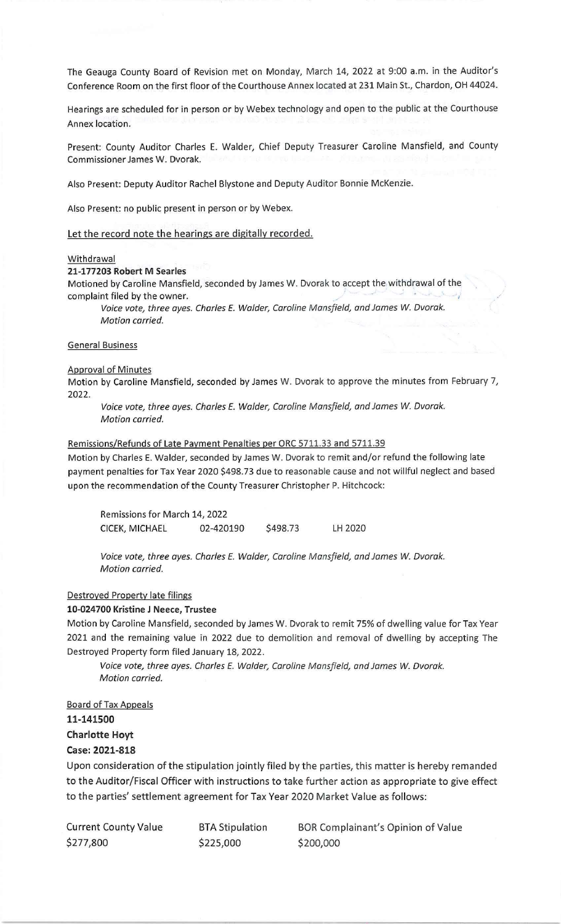The Geauga County Board of Revision met on Monday, March 14, 2022 at 9:00 a.m. in the Auditor's Conference Room on the first floor of the Courthouse Annex located at 231 Main St., Chardon, OH 44024.

Hearings are scheduled for in person or by Webex technology and open to the public at the Courthouse Annex location.

Present: County Auditor Charles E. Walder, Chief Deputy Treasurer Caroline Mansfield, and County Commissioner James W. Dvorak.

Also Present: Deputy Auditor Rachel Blystone and Deputy Auditor Bonnie McKenzie.

Also Present: no public present in person or by Webex.

Let the record note the hearings are digitally recorded.

#### **Withdrawal**

### 21-177203 Robert M Searles

Motioned by Caroline Mansfield, seconded by James W. Dvorak to accept the withdrawal of the complaint filed by the owner.

Voice vote, three ayes. Charles E. Walder, Caroline Mansfield, and James *W.* Dvorak. Motion carried.

#### General Business

#### Approval of Minutes

Motion by Caroline Mansfield, seconded by James W. Dvorak to approve the minutes from February 7, 2022.

Voice vote, three ayes. Charles E. Walder, Caroline Mansfield, and James *W.* Dvorak. Motion carried.

#### Remissions/Refunds of Late Payment Penalties per ORC 5711.33 and 5711.39

Motion by Charles E. Walder, seconded by James W. Dvorak to remit and/or refund the following late payment penalties for Tax Year 2020 \$498.73 due to reasonable cause and not willful neglect and based upon the recommendation of the County Treasurer Christopher P. Hitchcock:

Remissions for March 14, 2022 CICEK, MICHAEL 02-420190 \$498.73 LH 2020

Voice vote, three ayes. Charles E. Walder, Caroline Mansfield, and James *W.* Dvorak. Motion carried.

#### Destroyed Property late filings

#### 10-024700 Kristine J Neece, Trustee

Motion by Caroline Mansfield, seconded by James W. Dvorak to remit 75% of dwelling value for Tax Year 2021 and the remaining value in 2022 due to demolition and removal of dwelling by accepting The Destroyed Property form filed January 18, 2022.

Voice vote, three ayes. Charles E. Walder, Caroline Mansfield, and James *W.* Dvorak. Motion carried.

### Board of Tax Appeals 11-141500

# Charlotte Hoyt

# Case: 2021-818

Upon consideration of the stipulation jointly filed by the parties, this matter is hereby remanded to the Auditor/Fiscal Officer with instructions to take further action as appropriate to give effect to the parties' settlement agreement for Tax Year 2020 Market Value as follows:

| Current County Value | <b>BTA Stipulation</b> | BOR Complainant's Opinion of Value |
|----------------------|------------------------|------------------------------------|
| \$277,800            | \$225,000              | \$200,000                          |